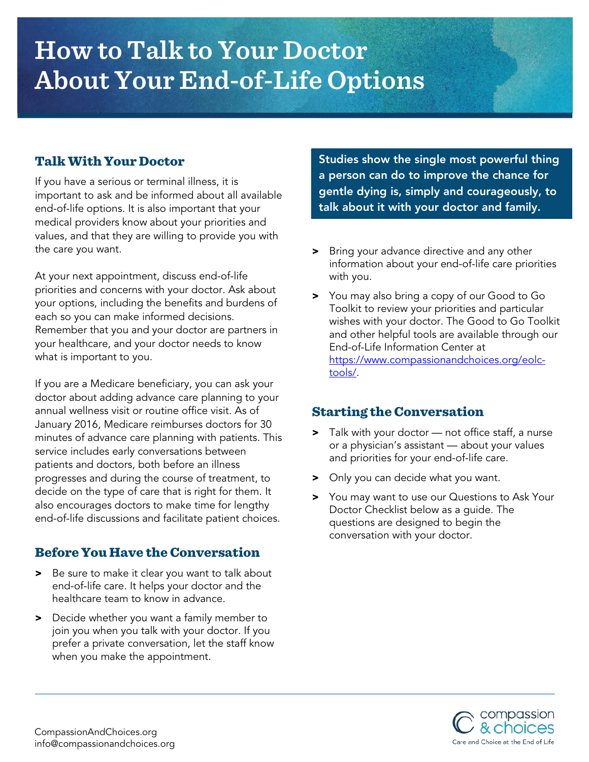# **How to Talk to Your Doctor About Your End-of-Life Options**

## Talk With Your Doctor

If you have a serious or terminal illness, it is important to ask and be informed about all available end-of-life options. It is also important that your medical providers know about your priorities and values, and that they are willing to provide you with the care you want.

At your next appointment, discuss end-of-life priorities and concerns with your doctor. Ask about your options, including the benefits and burdens of each so you can make informed decisions. Remember that you and your doctor are partners in your healthcare, and your doctor needs to know what is important to you.

If you are a Medicare beneficiary, you can ask your doctor about adding advance care planning to your annual wellness visit or routine office visit. As of January 2016, Medicare reimburses doctors for 30 minutes of advance care planning with patients. This service includes early conversations between patients and doctors, both before an illness progresses and during the course of treatment, to decide on the type of care that is right for them. It also encourages doctors to make time for lengthy end-of-life discussions and facilitate patient choices.

## Before You Have the Conversation

- > Be sure to make it clear you want to talk about end-of-life care. It helps your doctor and the healthcare team to know in advance.
- > Decide whether you want a family member to join you when you talk with your doctor. If you prefer a private conversation, let the staff know when you make the appointment.

Studies show the single most powerful thing a person can do to improve the chance for gentle dying is, simply and courageously, to talk about it with your doctor and family.

- > Bring your advance directive and any other information about your end-of-life care priorities with you.
- > You may also bring a copy of our Good to Go Toolkit to review your priorities and particular wishes with your doctor. The Good to Go Toolkit and other helpful tools are available through our End-of-Life Information Center at [https://www.compassionandchoices.org/eolc](https://www.compassionandchoices.org/eolc-tools/)[tools/.](https://www.compassionandchoices.org/eolc-tools/)

## Starting the Conversation

- > Talk with your doctor not office staff, a nurse or a physician's assistant — about your values and priorities for your end-of-life care.
- Only you can decide what you want.
- > You may want to use our Questions to Ask Your Doctor Checklist below as a guide. The questions are designed to begin the conversation with your doctor.

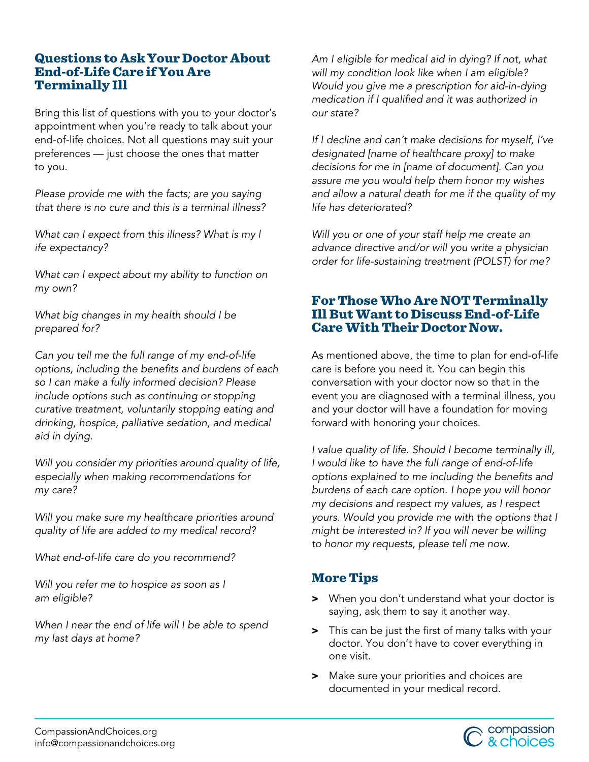#### Questions to Ask Your Doctor About End-of-Life Care if You Are Terminally Ill

Bring this list of questions with you to your doctor's appointment when you're ready to talk about your end-of-life choices. Not all questions may suit your preferences — just choose the ones that matter to you.

*Please provide me with the facts; are you saying that there is no cure and this is a terminal illness?* 

*What can I expect from this illness? What is my l ife expectancy?*

*What can I expect about my ability to function on my own?* 

*What big changes in my health should I be prepared for?* 

*Can you tell me the full range of my end-of-life options, including the benefits and burdens of each so I can make a fully informed decision? Please include options such as continuing or stopping curative treatment, voluntarily stopping eating and drinking, hospice, palliative sedation, and medical aid in dying.* 

*Will you consider my priorities around quality of life, especially when making recommendations for my care?*

*Will you make sure my healthcare priorities around quality of life are added to my medical record?*

*What end-of-life care do you recommend?*

*Will you refer me to hospice as soon as I am eligible?* 

*When I near the end of life will I be able to spend my last days at home?*

*Am I eligible for medical aid in dying? If not, what will my condition look like when I am eligible? Would you give me a prescription for aid-in-dying medication if I qualified and it was authorized in our state?*

*If I decline and can't make decisions for myself, I've designated [name of healthcare proxy] to make decisions for me in [name of document]. Can you assure me you would help them honor my wishes and allow a natural death for me if the quality of my life has deteriorated?*

*Will you or one of your staff help me create an advance directive and/or will you write a physician order for life-sustaining treatment (POLST) for me?*

### For Those Who Are NOT Terminally Ill But Want to Discuss End-of-Life Care With Their Doctor Now.

As mentioned above, the time to plan for end-of-life care is before you need it. You can begin this conversation with your doctor now so that in the event you are diagnosed with a terminal illness, you and your doctor will have a foundation for moving forward with honoring your choices.

*I value quality of life. Should I become terminally ill, I would like to have the full range of end-of-life options explained to me including the benefits and burdens of each care option. I hope you will honor my decisions and respect my values, as I respect yours. Would you provide me with the options that I might be interested in? If you will never be willing to honor my requests, please tell me now.*

## More Tips

- > When you don't understand what your doctor is saying, ask them to say it another way.
- > This can be just the first of many talks with your doctor. You don't have to cover everything in one visit.
- > Make sure your priorities and choices are documented in your medical record.